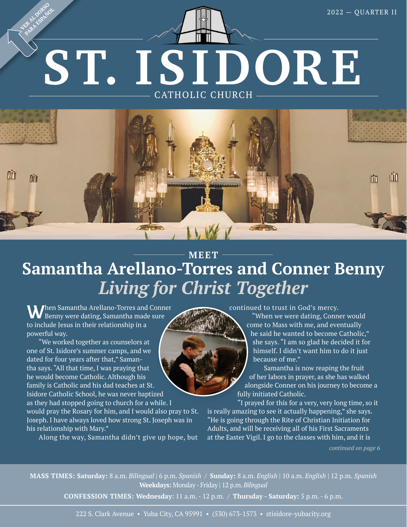# **ST. ISIDORE**  CATHOLIC CHURCH **PARA ESPAÑOL**



### **MEET Samantha Arellano-Torres and Conner Benny** *Living for Christ Together*

**When Samantha Arellano-Torres and Conner** Benny were dating, Samantha made sure to include Jesus in their relationship in a powerful way.

**VER AL DORSO**

"We worked together as counselors at one of St. Isidore's summer camps, and we dated for four years after that," Samantha says. "All that time, I was praying that he would become Catholic. Although his family is Catholic and his dad teaches at St. Isidore Catholic School, he was never baptized as they had stopped going to church for a while. I

would pray the Rosary for him, and I would also pray to St. Joseph. I have always loved how strong St. Joseph was in his relationship with Mary."

Along the way, Samantha didn't give up hope, but

continued to trust in God's mercy.

"When we were dating, Conner would come to Mass with me, and eventually he said he wanted to become Catholic," she says. "I am so glad he decided it for himself. I didn't want him to do it just because of me."

Samantha is now reaping the fruit of her labors in prayer, as she has walked alongside Conner on his journey to become a fully initiated Catholic.

 "I prayed for this for a very, very long time, so it is really amazing to see it actually happening," she says. "He is going through the Rite of Christian Initiation for Adults, and will be receiving all of his First Sacraments at the Easter Vigil. I go to the classes with him, and it is

*continued on page 6*

**MASS TIMES: Saturday:** 8 a.m. *Bilingual* | 6 p.m. *Spanish* / **Sunday:** 8 a.m. *English* | 10 a.m. *English |* 12 p.m. *Spanish* **Weekdays:** Monday - Friday | 12 p.m. *Bilingual*

**CONFESSION TIMES: Wednesday**: 11 a.m. - 12 p.m. / **Thursday - Saturday:** 5 p.m. - 6 p.m.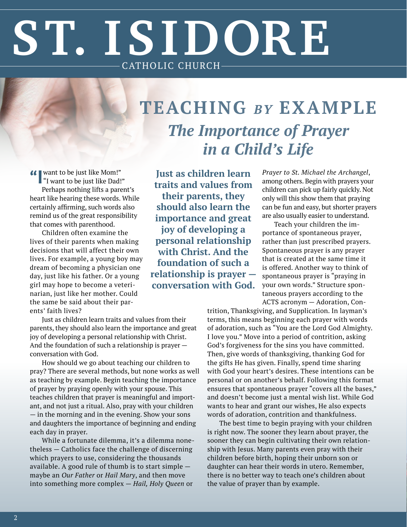# **ST. ISIDORE**  CATHOLIC CHURCH

## **TEACHING** *BY* **EXAMPLE** *The Importance of Prayer in a Child's Life*

**"I** want to be just like Mom!" "I want to be just like Dad!" Perhaps nothing lifts a parent's heart like hearing these words. While certainly affirming, such words also remind us of the great responsibility that comes with parenthood.

Children often examine the lives of their parents when making decisions that will affect their own lives. For example, a young boy may dream of becoming a physician one day, just like his father. Or a young girl may hope to become a veterinarian, just like her mother. Could the same be said about their parents' faith lives?

Just as children learn traits and values from their parents, they should also learn the importance and great joy of developing a personal relationship with Christ. And the foundation of such a relationship is prayer conversation with God.

How should we go about teaching our children to pray? There are several methods, but none works as well as teaching by example. Begin teaching the importance of prayer by praying openly with your spouse. This teaches children that prayer is meaningful and important, and not just a ritual. Also, pray with your children — in the morning and in the evening. Show your sons and daughters the importance of beginning and ending each day in prayer.

While a fortunate dilemma, it's a dilemma nonetheless — Catholics face the challenge of discerning which prayers to use, considering the thousands available. A good rule of thumb is to start simple maybe an *Our Father* or *Hail Mary*, and then move into something more complex — *Hail, Holy Queen* or

**Just as children learn traits and values from their parents, they should also learn the importance and great joy of developing a personal relationship with Christ. And the foundation of such a relationship is prayer conversation with God.**  *Prayer to St. Michael the Archangel*, among others. Begin with prayers your children can pick up fairly quickly. Not only will this show them that praying can be fun and easy, but shorter prayers are also usually easier to understand.

Teach your children the importance of spontaneous prayer, rather than just prescribed prayers. Spontaneous prayer is any prayer that is created at the same time it is offered. Another way to think of spontaneous prayer is "praying in your own words." Structure spontaneous prayers according to the ACTS acronym — Adoration, Con-

trition, Thanksgiving, and Supplication. In layman's terms, this means beginning each prayer with words of adoration, such as "You are the Lord God Almighty. I love you." Move into a period of contrition, asking God's forgiveness for the sins you have committed. Then, give words of thanksgiving, thanking God for the gifts He has given. Finally, spend time sharing with God your heart's desires. These intentions can be personal or on another's behalf. Following this format ensures that spontaneous prayer "covers all the bases," and doesn't become just a mental wish list. While God wants to hear and grant our wishes, He also expects words of adoration, contrition and thankfulness.

The best time to begin praying with your children is right now. The sooner they learn about prayer, the sooner they can begin cultivating their own relationship with Jesus. Many parents even pray with their children before birth, hoping their unborn son or daughter can hear their words in utero. Remember, there is no better way to teach one's children about the value of prayer than by example.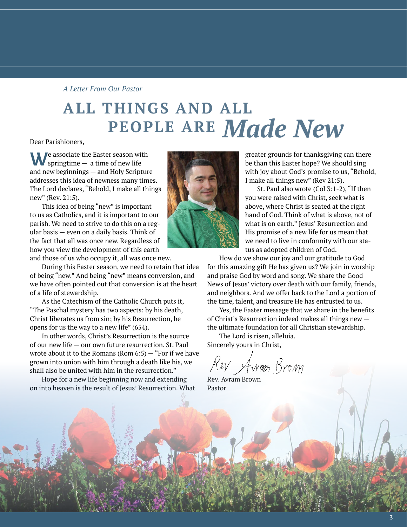#### *A Letter From Our Pastor*

### **ALL THINGS AND ALL PEOPLE ARE** *Made New*

Dear Parishioners,

We associate the Easter season with springtime — a time of new life and new beginnings — and Holy Scripture addresses this idea of newness many times. The Lord declares, "Behold, I make all things new" (Rev. 21:5).

This idea of being "new" is important to us as Catholics, and it is important to our parish. We need to strive to do this on a regular basis — even on a daily basis. Think of the fact that all was once new. Regardless of how you view the development of this earth

and those of us who occupy it, all was once new.

During this Easter season, we need to retain that idea of being "new." And being "new" means conversion, and we have often pointed out that conversion is at the heart of a life of stewardship.

As the Catechism of the Catholic Church puts it, "The Paschal mystery has two aspects: by his death, Christ liberates us from sin; by his Resurrection, he opens for us the way to a new life" (654).

In other words, Christ's Resurrection is the source of our new life — our own future resurrection. St. Paul wrote about it to the Romans (Rom  $6:5$ ) – "For if we have grown into union with him through a death like his, we shall also be united with him in the resurrection."

Hope for a new life beginning now and extending on into heaven is the result of Jesus' Resurrection. What

greater grounds for thanksgiving can there be than this Easter hope? We should sing with joy about God's promise to us, "Behold, I make all things new" (Rev 21:5).

St. Paul also wrote (Col 3:1-2), "If then you were raised with Christ, seek what is above, where Christ is seated at the right hand of God. Think of what is above, not of what is on earth." Jesus' Resurrection and His promise of a new life for us mean that we need to live in conformity with our status as adopted children of God.

How do we show our joy and our gratitude to God for this amazing gift He has given us? We join in worship and praise God by word and song. We share the Good News of Jesus' victory over death with our family, friends, and neighbors. And we offer back to the Lord a portion of the time, talent, and treasure He has entrusted to us.

Yes, the Easter message that we share in the benefits of Christ's Resurrection indeed makes all things new the ultimate foundation for all Christian stewardship.

The Lord is risen, alleluia. Sincerely yours in Christ,

Rev. Awom Brown

Rev. Avram Brown Pastor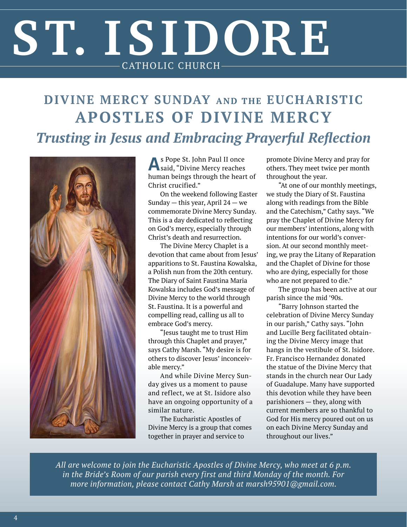# **ST. ISIDORE**  CATHOLIC CHURCH

### **DIVINE MERCY SUNDAY AND THE EUCHARISTIC APOSTLES OF DIVINE MERCY** *Trusting in Jesus and Embracing Prayerful Reflection*



**A**s Pope St. John Paul II once said, "Divine Mercy reaches human beings through the heart of Christ crucified."

On the weekend following Easter Sunday — this year, April  $24$  — we commemorate Divine Mercy Sunday. This is a day dedicated to reflecting on God's mercy, especially through Christ's death and resurrection.

The Divine Mercy Chaplet is a devotion that came about from Jesus' apparitions to St. Faustina Kowalska, a Polish nun from the 20th century. The Diary of Saint Faustina Maria Kowalska includes God's message of Divine Mercy to the world through St. Faustina. It is a powerful and compelling read, calling us all to embrace God's mercy.

"Jesus taught me to trust Him through this Chaplet and prayer," says Cathy Marsh. "My desire is for others to discover Jesus' inconceivable mercy."

And while Divine Mercy Sunday gives us a moment to pause and reflect, we at St. Isidore also have an ongoing opportunity of a similar nature.

The Eucharistic Apostles of Divine Mercy is a group that comes together in prayer and service to

promote Divine Mercy and pray for others. They meet twice per month throughout the year.

"At one of our monthly meetings, we study the Diary of St. Faustina along with readings from the Bible and the Catechism," Cathy says. "We pray the Chaplet of Divine Mercy for our members' intentions, along with intentions for our world's conversion. At our second monthly meeting, we pray the Litany of Reparation and the Chaplet of Divine for those who are dying, especially for those who are not prepared to die."

The group has been active at our parish since the mid '90s.

"Barry Johnson started the celebration of Divine Mercy Sunday in our parish," Cathy says. "John and Lucille Berg facilitated obtaining the Divine Mercy image that hangs in the vestibule of St. Isidore. Fr. Francisco Hernandez donated the statue of the Divine Mercy that stands in the church near Our Lady of Guadalupe. Many have supported this devotion while they have been parishioners — they, along with current members are so thankful to God for His mercy poured out on us on each Divine Mercy Sunday and throughout our lives."

*All are welcome to join the Eucharistic Apostles of Divine Mercy, who meet at 6 p.m. in the Bride's Room of our parish every first and third Monday of the month. For more information, please contact Cathy Marsh at [marsh95901@gmail.com](mailto:marsh95901@gmail.com).*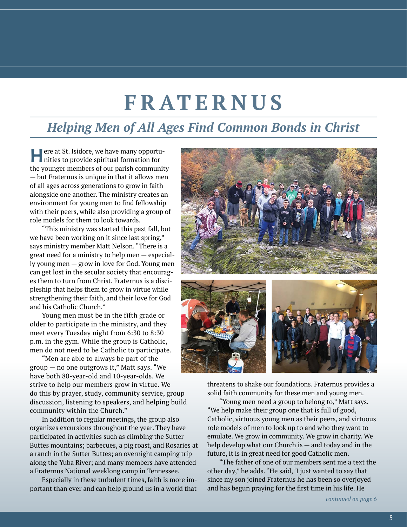## **FRATERNUS**

#### *Helping Men of All Ages Find Common Bonds in Christ*

**Here at St. Isidore, we have many opportu-**<br>nities to provide spiritual formation for the younger members of our parish community — but Fraternus is unique in that it allows men of all ages across generations to grow in faith alongside one another. The ministry creates an environment for young men to find fellowship with their peers, while also providing a group of role models for them to look towards.

"This ministry was started this past fall, but we have been working on it since last spring," says ministry member Matt Nelson. "There is a great need for a ministry to help men — especially young men — grow in love for God. Young men can get lost in the secular society that encourages them to turn from Christ. Fraternus is a discipleship that helps them to grow in virtue while strengthening their faith, and their love for God and his Catholic Church."

Young men must be in the fifth grade or older to participate in the ministry, and they meet every Tuesday night from 6:30 to 8:30 p.m. in the gym. While the group is Catholic, men do not need to be Catholic to participate.

"Men are able to always be part of the group — no one outgrows it," Matt says. "We have both 80-year-old and 10-year-olds. We strive to help our members grow in virtue. We do this by prayer, study, community service, group discussion, listening to speakers, and helping build community within the Church."

In addition to regular meetings, the group also organizes excursions throughout the year. They have participated in activities such as climbing the Sutter Buttes mountains; barbecues, a pig roast, and Rosaries at a ranch in the Sutter Buttes; an overnight camping trip along the Yuba River; and many members have attended a Fraternus National weeklong camp in Tennessee.

Especially in these turbulent times, faith is more important than ever and can help ground us in a world that



threatens to shake our foundations. Fraternus provides a solid faith community for these men and young men.

"Young men need a group to belong to," Matt says. "We help make their group one that is full of good, Catholic, virtuous young men as their peers, and virtuous role models of men to look up to and who they want to emulate. We grow in community. We grow in charity. We help develop what our Church is — and today and in the future, it is in great need for good Catholic men.

"The father of one of our members sent me a text the other day," he adds. "He said, 'I just wanted to say that since my son joined Fraternus he has been so overjoyed and has begun praying for the first time in his life. He